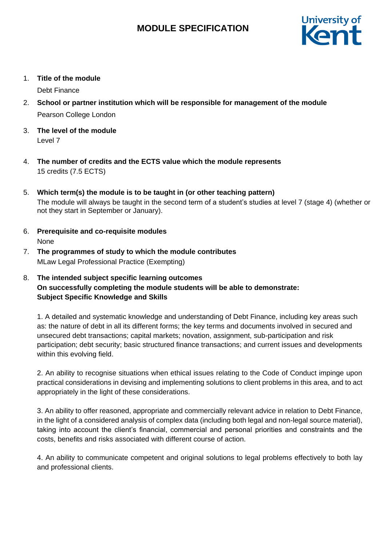

1. **Title of the module**

Debt Finance

- 2. **School or partner institution which will be responsible for management of the module** Pearson College London
- 3. **The level of the module**  Level 7
- 4. **The number of credits and the ECTS value which the module represents**  15 credits (7.5 ECTS)
- 5. **Which term(s) the module is to be taught in (or other teaching pattern)** The module will always be taught in the second term of a student's studies at level 7 (stage 4) (whether or not they start in September or January).
- 6. **Prerequisite and co-requisite modules** None
- 7. **The programmes of study to which the module contributes** MLaw Legal Professional Practice (Exempting)

## 8. **The intended subject specific learning outcomes On successfully completing the module students will be able to demonstrate: Subject Specific Knowledge and Skills**

1. A detailed and systematic knowledge and understanding of Debt Finance, including key areas such as: the nature of debt in all its different forms; the key terms and documents involved in secured and unsecured debt transactions; capital markets; novation, assignment, sub-participation and risk participation; debt security; basic structured finance transactions; and current issues and developments within this evolving field.

2. An ability to recognise situations when ethical issues relating to the Code of Conduct impinge upon practical considerations in devising and implementing solutions to client problems in this area, and to act appropriately in the light of these considerations.

3. An ability to offer reasoned, appropriate and commercially relevant advice in relation to Debt Finance, in the light of a considered analysis of complex data (including both legal and non-legal source material), taking into account the client's financial, commercial and personal priorities and constraints and the costs, benefits and risks associated with different course of action.

4. An ability to communicate competent and original solutions to legal problems effectively to both lay and professional clients.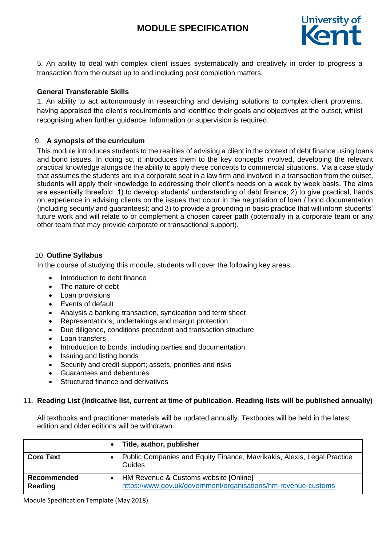

5. An ability to deal with complex client issues systematically and creatively in order to progress a transaction from the outset up to and including post completion matters.

#### **General Transferable Skills**

1. An ability to act autonomously in researching and devising solutions to complex client problems, having appraised the client's requirements and identified their goals and objectives at the outset, whilst recognising when further guidance, information or supervision is required.

#### 9. **A synopsis of the curriculum**

This module introduces students to the realities of advising a client in the context of debt finance using loans and bond issues. In doing so, it introduces them to the key concepts involved, developing the relevant practical knowledge alongside the ability to apply these concepts to commercial situations. Via a case study that assumes the students are in a corporate seat in a law firm and involved in a transaction from the outset, students will apply their knowledge to addressing their client's needs on a week by week basis. The aims are essentially threefold: 1) to develop students' understanding of debt finance; 2) to give practical, hands on experience in advising clients on the issues that occur in the negotiation of loan / bond documentation (including security and guarantees); and 3) to provide a grounding in basic practice that will inform students' future work and will relate to or complement a chosen career path (potentially in a corporate team or any other team that may provide corporate or transactional support).

#### 10. **Outline Syllabus**

In the course of studying this module, students will cover the following key areas:

- Introduction to debt finance
- The nature of debt
- Loan provisions
- Events of default
- Analysis a banking transaction, syndication and term sheet
- Representations, undertakings and margin protection
- Due diligence, conditions precedent and transaction structure
- Loan transfers
- Introduction to bonds, including parties and documentation
- Issuing and listing bonds
- Security and credit support; assets, priorities and risks
- Guarantees and debentures
- Structured finance and derivatives

#### 11. **Reading List (Indicative list, current at time of publication. Reading lists will be published annually)**

All textbooks and practitioner materials will be updated annually. Textbooks will be held in the latest edition and older editions will be withdrawn.

|                        | $\bullet$ | Title, author, publisher                                                                                  |
|------------------------|-----------|-----------------------------------------------------------------------------------------------------------|
| <b>Core Text</b>       |           | Public Companies and Equity Finance, Mavrikakis, Alexis, Legal Practice<br>Guides                         |
| Recommended<br>Reading |           | • HM Revenue & Customs website [Online]<br>https://www.gov.uk/government/organisations/hm-revenue-customs |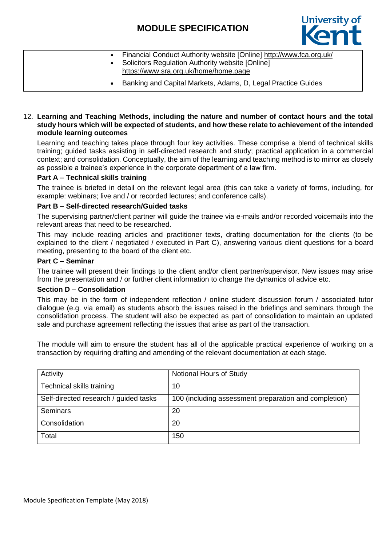

| Financial Conduct Authority website [Online] http://www.fca.org.uk/<br>Solicitors Regulation Authority website [Online]<br>https://www.sra.org.uk/home/home.page |
|------------------------------------------------------------------------------------------------------------------------------------------------------------------|
| Banking and Capital Markets, Adams, D, Legal Practice Guides                                                                                                     |

#### 12. **Learning and Teaching Methods, including the nature and number of contact hours and the total study hours which will be expected of students, and how these relate to achievement of the intended module learning outcomes**

Learning and teaching takes place through four key activities. These comprise a blend of technical skills training; guided tasks assisting in self-directed research and study; practical application in a commercial context; and consolidation. Conceptually, the aim of the learning and teaching method is to mirror as closely as possible a trainee's experience in the corporate department of a law firm.

### **Part A – Technical skills training**

The trainee is briefed in detail on the relevant legal area (this can take a variety of forms, including, for example: webinars; live and / or recorded lectures; and conference calls).

#### **Part B – Self-directed research/Guided tasks**

The supervising partner/client partner will guide the trainee via e-mails and/or recorded voicemails into the relevant areas that need to be researched.

This may include reading articles and practitioner texts, drafting documentation for the clients (to be explained to the client / negotiated / executed in Part C), answering various client questions for a board meeting, presenting to the board of the client etc.

### **Part C – Seminar**

The trainee will present their findings to the client and/or client partner/supervisor. New issues may arise from the presentation and / or further client information to change the dynamics of advice etc.

#### **Section D – Consolidation**

This may be in the form of independent reflection / online student discussion forum / associated tutor dialogue (e.g. via email) as students absorb the issues raised in the briefings and seminars through the consolidation process. The student will also be expected as part of consolidation to maintain an updated sale and purchase agreement reflecting the issues that arise as part of the transaction.

The module will aim to ensure the student has all of the applicable practical experience of working on a transaction by requiring drafting and amending of the relevant documentation at each stage.

| Activity                              | Notional Hours of Study                               |
|---------------------------------------|-------------------------------------------------------|
| Technical skills training             | 10                                                    |
| Self-directed research / guided tasks | 100 (including assessment preparation and completion) |
| <b>Seminars</b>                       | 20                                                    |
| Consolidation                         | 20                                                    |
| Total                                 | 150                                                   |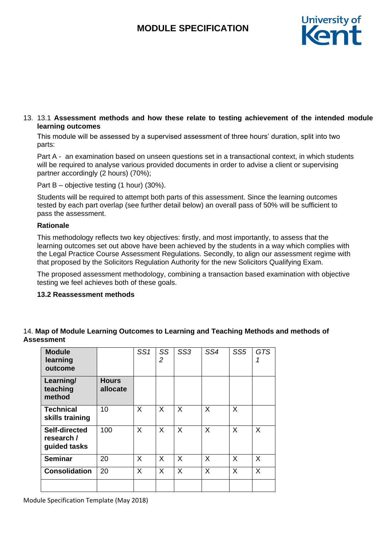

#### 13. 13.1 **Assessment methods and how these relate to testing achievement of the intended module learning outcomes**

This module will be assessed by a supervised assessment of three hours' duration, split into two parts:

Part A - an examination based on unseen questions set in a transactional context, in which students will be required to analyse various provided documents in order to advise a client or supervising partner accordingly (2 hours) (70%);

Part B – objective testing (1 hour) (30%).

Students will be required to attempt both parts of this assessment. Since the learning outcomes tested by each part overlap (see further detail below) an overall pass of 50% will be sufficient to pass the assessment.

#### **Rationale**

This methodology reflects two key objectives: firstly, and most importantly, to assess that the learning outcomes set out above have been achieved by the students in a way which complies with the Legal Practice Course Assessment Regulations. Secondly, to align our assessment regime with that proposed by the Solicitors Regulation Authority for the new Solicitors Qualifying Exam.

The proposed assessment methodology, combining a transaction based examination with objective testing we feel achieves both of these goals.

#### **13.2 Reassessment methods**

| <b>Module</b><br>learning<br>outcome        |                          | SS1 | SS<br>$\overline{2}$ | SS <sub>3</sub> | SS4 | SS <sub>5</sub> | <b>GTS</b> |
|---------------------------------------------|--------------------------|-----|----------------------|-----------------|-----|-----------------|------------|
| Learning/<br>teaching<br>method             | <b>Hours</b><br>allocate |     |                      |                 |     |                 |            |
| <b>Technical</b><br>skills training         | 10                       | X   | X                    | X               | X   | X               |            |
| Self-directed<br>research /<br>guided tasks | 100                      | X   | X                    | X               | X   | X               | X          |
| <b>Seminar</b>                              | 20                       | X   | $\mathsf{X}$         | X               | X   | X               | X          |
| <b>Consolidation</b>                        | 20                       | X   | X                    | X               | X   | X               | X          |
|                                             |                          |     |                      |                 |     |                 |            |

### 14. **Map of Module Learning Outcomes to Learning and Teaching Methods and methods of Assessment**

Module Specification Template (May 2018)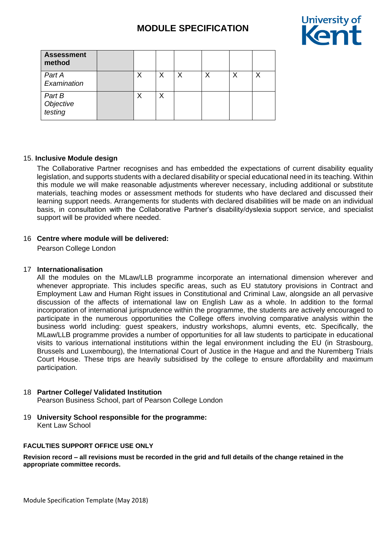

| <b>Assessment</b><br>method    |   |   |   |   |   |   |
|--------------------------------|---|---|---|---|---|---|
| Part A<br>Examination          | Χ | X | X | ◡ | Χ | ◡ |
| Part B<br>Objective<br>testing |   | Х |   |   |   |   |

#### 15. **Inclusive Module design**

The Collaborative Partner recognises and has embedded the expectations of current disability equality legislation, and supports students with a declared disability or special educational need in its teaching. Within this module we will make reasonable adjustments wherever necessary, including additional or substitute materials, teaching modes or assessment methods for students who have declared and discussed their learning support needs. Arrangements for students with declared disabilities will be made on an individual basis, in consultation with the Collaborative Partner's disability/dyslexia support service, and specialist support will be provided where needed.

### 16 **Centre where module will be delivered:**

Pearson College London

### 17 **Internationalisation**

All the modules on the MLaw/LLB programme incorporate an international dimension wherever and whenever appropriate. This includes specific areas, such as EU statutory provisions in Contract and Employment Law and Human Right issues in Constitutional and Criminal Law, alongside an all pervasive discussion of the affects of international law on English Law as a whole. In addition to the formal incorporation of international jurisprudence within the programme, the students are actively encouraged to participate in the numerous opportunities the College offers involving comparative analysis within the business world including: guest speakers, industry workshops, alumni events, etc. Specifically, the MLaw/LLB programme provides a number of opportunities for all law students to participate in educational visits to various international institutions within the legal environment including the EU (in Strasbourg, Brussels and Luxembourg), the International Court of Justice in the Hague and and the Nuremberg Trials Court House. These trips are heavily subsidised by the college to ensure affordability and maximum participation.

#### 18 **Partner College/ Validated Institution**

Pearson Business School, part of Pearson College London

19 **University School responsible for the programme:** Kent Law School

#### **FACULTIES SUPPORT OFFICE USE ONLY**

**Revision record – all revisions must be recorded in the grid and full details of the change retained in the appropriate committee records.**

Module Specification Template (May 2018)